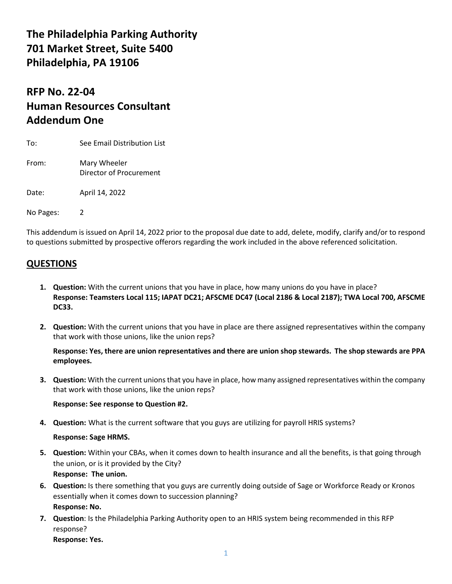# **The Philadelphia Parking Authority 701 Market Street, Suite 5400 Philadelphia, PA 19106**

# **RFP No. 22-04 Human Resources Consultant Addendum One**

| To:       | See Email Distribution List             |
|-----------|-----------------------------------------|
| From:     | Mary Wheeler<br>Director of Procurement |
| Date:     | April 14, 2022                          |
| No Pages: |                                         |

This addendum is issued on April 14, 2022 prior to the proposal due date to add, delete, modify, clarify and/or to respond to questions submitted by prospective offerors regarding the work included in the above referenced solicitation.

### **QUESTIONS**

- **1. Question:** With the current unions that you have in place, how many unions do you have in place? **Response: Teamsters Local 115; IAPAT DC21; AFSCME DC47 (Local 2186 & Local 2187); TWA Local 700, AFSCME DC33.**
- **2. Question:** With the current unions that you have in place are there assigned representatives within the company that work with those unions, like the union reps?

#### **Response: Yes, there are union representatives and there are union shop stewards. The shop stewards are PPA employees.**

**3. Question:** With the current unions that you have in place, how many assigned representatives within the company that work with those unions, like the union reps?

#### **Response: See response to Question #2.**

**4. Question:** What is the current software that you guys are utilizing for payroll HRIS systems?

#### **Response: Sage HRMS.**

- **5. Question:** Within your CBAs, when it comes down to health insurance and all the benefits, is that going through the union, or is it provided by the City? **Response: The union.**
- **6. Question:** Is there something that you guys are currently doing outside of Sage or Workforce Ready or Kronos essentially when it comes down to succession planning? **Response: No.**
- **7. Question**: Is the Philadelphia Parking Authority open to an HRIS system being recommended in this RFP response?

**Response: Yes.**